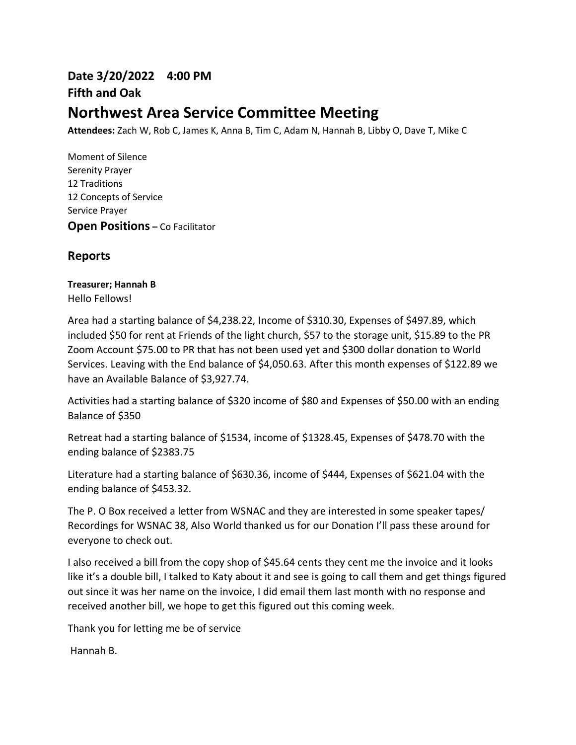# **Date 3/20/2022 4:00 PM Fifth and Oak Northwest Area Service Committee Meeting**

**Attendees:** Zach W, Rob C, James K, Anna B, Tim C, Adam N, Hannah B, Libby O, Dave T, Mike C

Moment of Silence Serenity Prayer 12 Traditions 12 Concepts of Service Service Prayer **Open Positions –** Co Facilitator

## **Reports**

# **Treasurer; Hannah B**

Hello Fellows!

Area had a starting balance of \$4,238.22, Income of \$310.30, Expenses of \$497.89, which included \$50 for rent at Friends of the light church, \$57 to the storage unit, \$15.89 to the PR Zoom Account \$75.00 to PR that has not been used yet and \$300 dollar donation to World Services. Leaving with the End balance of \$4,050.63. After this month expenses of \$122.89 we have an Available Balance of \$3,927.74.

Activities had a starting balance of \$320 income of \$80 and Expenses of \$50.00 with an ending Balance of \$350

Retreat had a starting balance of \$1534, income of \$1328.45, Expenses of \$478.70 with the ending balance of \$2383.75

Literature had a starting balance of \$630.36, income of \$444, Expenses of \$621.04 with the ending balance of \$453.32.

The P. O Box received a letter from WSNAC and they are interested in some speaker tapes/ Recordings for WSNAC 38, Also World thanked us for our Donation I'll pass these around for everyone to check out.

I also received a bill from the copy shop of \$45.64 cents they cent me the invoice and it looks like it's a double bill, I talked to Katy about it and see is going to call them and get things figured out since it was her name on the invoice, I did email them last month with no response and received another bill, we hope to get this figured out this coming week.

Thank you for letting me be of service

Hannah B.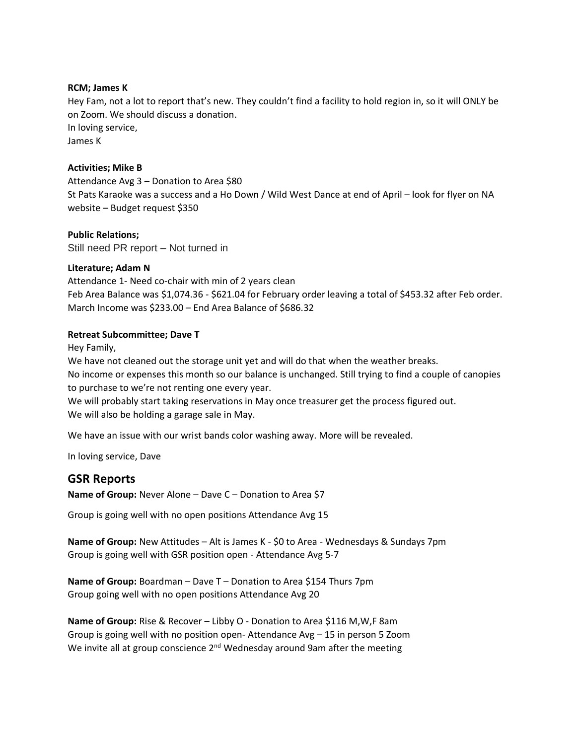#### **RCM; James K**

Hey Fam, not a lot to report that's new. They couldn't find a facility to hold region in, so it will ONLY be on Zoom. We should discuss a donation. In loving service, James K

#### **Activities; Mike B**

Attendance Avg 3 – Donation to Area \$80 St Pats Karaoke was a success and a Ho Down / Wild West Dance at end of April – look for flyer on NA website – Budget request \$350

**Public Relations;**  Still need PR report – Not turned in

#### **Literature; Adam N**

Attendance 1- Need co-chair with min of 2 years clean Feb Area Balance was \$1,074.36 - \$621.04 for February order leaving a total of \$453.32 after Feb order. March Income was \$233.00 – End Area Balance of \$686.32

#### **Retreat Subcommittee; Dave T**

Hey Family,

We have not cleaned out the storage unit yet and will do that when the weather breaks.

No income or expenses this month so our balance is unchanged. Still trying to find a couple of canopies to purchase to we're not renting one every year.

We will probably start taking reservations in May once treasurer get the process figured out. We will also be holding a garage sale in May.

We have an issue with our wrist bands color washing away. More will be revealed.

In loving service, Dave

### **GSR Reports**

**Name of Group:** Never Alone – Dave C – Donation to Area \$7

Group is going well with no open positions Attendance Avg 15

**Name of Group:** New Attitudes – Alt is James K - \$0 to Area - Wednesdays & Sundays 7pm Group is going well with GSR position open - Attendance Avg 5-7

**Name of Group:** Boardman – Dave T – Donation to Area \$154 Thurs 7pm Group going well with no open positions Attendance Avg 20

**Name of Group:** Rise & Recover – Libby O - Donation to Area \$116 M,W,F 8am Group is going well with no position open- Attendance Avg – 15 in person 5 Zoom We invite all at group conscience  $2^{nd}$  Wednesday around 9am after the meeting